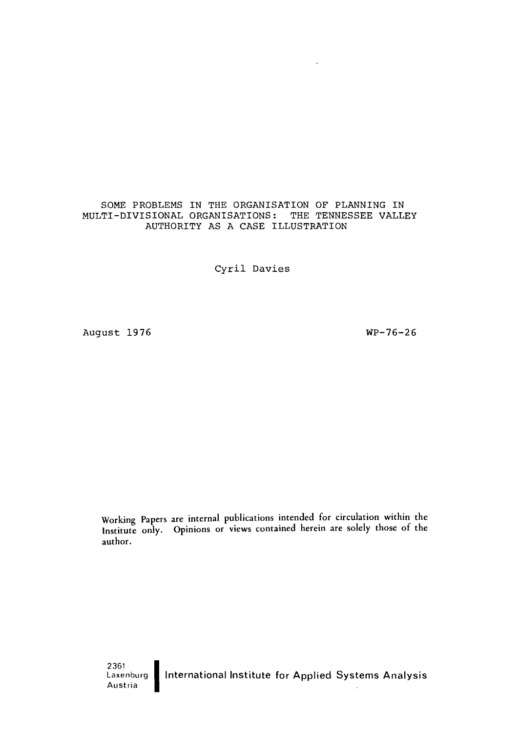# SOME PROBLEMS IN THE ORGANISATION OF PLANNING IN MULTI-DIVISIONAL ORGANISATIONS: THE TENNESSEE VALLEY AUTHORITY AS A CASE ILLUSTRATION

 $\overline{a}$ 

Cyril Davies

August 1976 WP-76-26

Working Papers are internal publications intended for circulation within the Institute only. Opinions or views contained herein are solely those of the author.

2361<br>Laxenburg | International Institute for Applied Systems Analysis Austria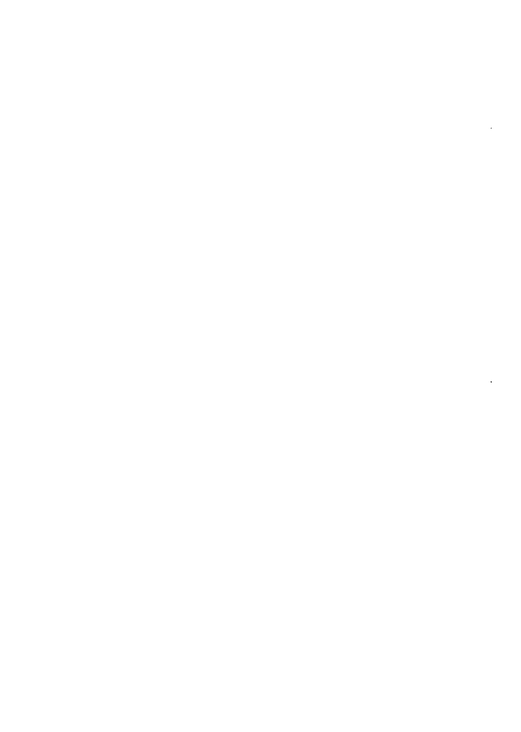$\epsilon$  $\star$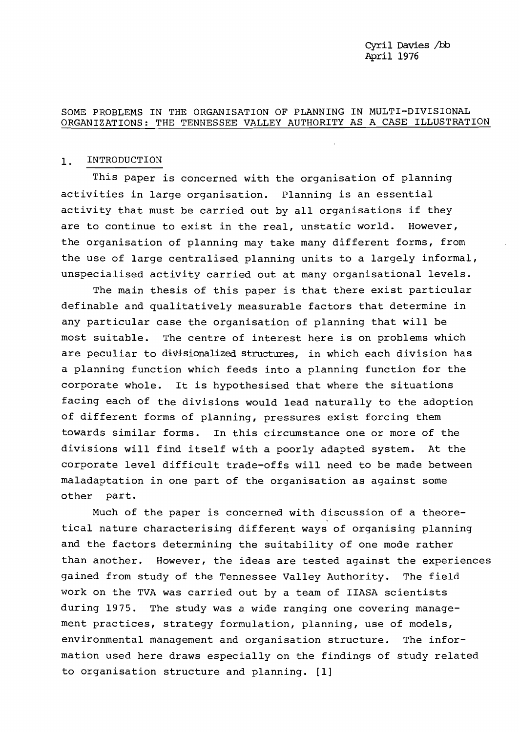# SOME PROBLEMS IN THE ORGANISATION OF PLANNING IN MULTI-DIVISIONAL ORGANIZATIONS: THE TENNESSEE VALLEY AUTHORITY AS A CASE ILLUSTRATION

## 1. INTRODUCTION

This paper is concerned with the organisation of planning activities in large organisation. Planning is an essential activity that must be carried out by all organisations if they are to continue to exist in the real, unstatic world. However, the organisation of planning may take many different forms, from the use of large centralised planning units to <sup>a</sup> largely informal, unspecialised activity carried out at many organisational levels.

The main thesis of this paper is that there exist particular definable and qualitatively measurable factors that determine in any particular case the organisation of planning that will be most suitable. The centre of interest here is on problems which are peculiar to divisionalized structures, in which each division has a planning function which feeds into a planning function for the corporate whole. It is hypothesised that where the situations facing each of the divisions would lead naturally to the adoption of different forms of planning, pressures exist forcing them towards similar forms. In this circumstance one or more of the divisions will find itself with <sup>a</sup> poorly adapted system. At the corporate level difficult trade-offs will need to be made between maladaptation in one part of the organisation as against some other part.

Much of the paper is concerned with discussion of a theoretical nature characterising different ways of organising planning and the factors determining the suitability of one mode rather than another. However, the ideas are tested against the experiences gained from study of the Tennessee Valley Authority. The field work on the TVA was carried out by <sup>a</sup> team of IIASA scientists during 1975. The study was a wide ranging one covering management practices, strategy formulation, planning, use of models, environmental management and organisation structure. The information used here draws especially on the findings of study related to organisation structure and planning. [1]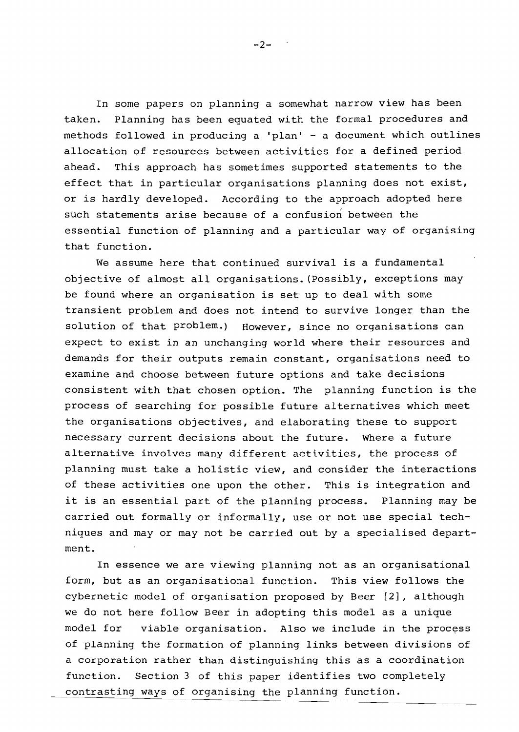In some papers on planning a somewhat narrow view has been taken. Planning has been equated with the formal procedures and methods followed in producing a 'plan' - a document which outlines allocation of resources between activities for <sup>a</sup> defined period ahead. This approach has sometimes supported statements to the effect that in particular organisations planning does not exist, or is hardly developed. According to the approach adopted here such statements arise because of <sup>a</sup> confusion between the essential function of planning and <sup>a</sup> particular way of organising that function.

We assume here that continued survival is <sup>a</sup> fundamental objective of almost all organisations. (Possibly, exceptions may be found where an organisation is set up to deal with some transient problem and does not intend to survive longer than the solution of that problem.) However, since no organisations can expect to exist in an unchanging world where their resources and demands for their outputs remain constant, organisations need to examine and choose between future options and take decisions consistent with that chosen option. The planning function is the process of searching for possible future alternatives which meet the organisations objectives, and elaborating these to support necessary current decisions about the future. Where a future alternative involves many different activities, the process of planning must take <sup>a</sup> holistic view, and consider the interactions of these activities one upon the other. This is integration and it is an essential part of the planning process. Planning may be carried out formally or informally, use or not use special techniques and may or may not be carried out by a specialised department.

In essence we are viewing planning not as an organisational form, but as an organisational function. This view follows the cybernetic model of organisation proposed by Beer [2], although we do not here follow Beer in adopting this model as <sup>a</sup> unique model for viable organisation. Also we include in the process of planning the formation of planning links between divisions of <sup>a</sup> corporation rather than distinguishing this as <sup>a</sup> coordination function. Section <sup>3</sup> of this paper identifies two completely contrasting ways of organising the planning function.

 $-2-$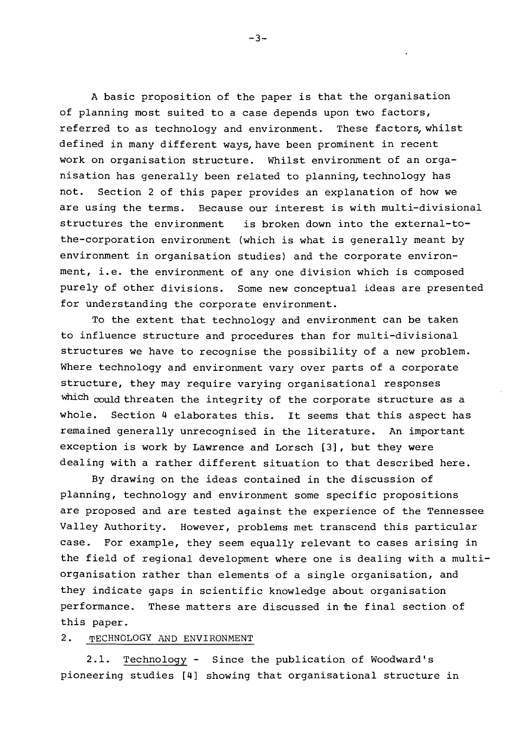<sup>A</sup> basic proposition of the paper is that the organisation of planning most suited to a case depends upon two factors, referred to as technology and environment. These factors, whilst defined in many different ways, have been prominent in recent work on organisation structure. Whilst environment of an organisation has generally been related to planning, technology has not. Section <sup>2</sup> of this paper provides an explanation of how we are using the terms. Because our interest is with multi-divisional structures the environment is broken down into the external-tothe-corporation environment (which is what is generally meant by environment in organisation studies) and the corporate environment, i.e. the environment of anyone division which is composed purely of other divisions. Some new conceptual ideas are presented for understanding the corporate environment.

To the extent that technology and environment can be taken to influence structure and procedures than for multi-divisional structures we have to recognise the possibility of <sup>a</sup> new problem. Where technology and environment vary over parts of a corporate structure, they may require varying organisational responses which could threaten the integrity of the corporate structure as a whole. Section <sup>4</sup> elaborates this. It seems that this aspect has remained generally unrecognised in the literature. An important exception is work by Lawrence and Lorsch [3], but they were dealing with <sup>a</sup> rather different situation to that described here.

By drawing on the ideas contained in the discussion of planning, technology and environment some specific propositions are proposed and are tested against the experience of the Tennessee Valley Authority. However, problems met transcend this particular case. For example, they seem equally relevant to cases arising in the field of regional development where one is dealing with <sup>a</sup> multiorganisation rather than elements of a single organisation, and they indicate gaps in scientific knowledge about organisation performance. These matters are discussed in the final section of this paper.

## 2. TECHNOLOGY AND ENVIRONMENT

2.1. Technology - Since the publication of Woodward's pioneering studies [4] showing that organisational structure in

-3-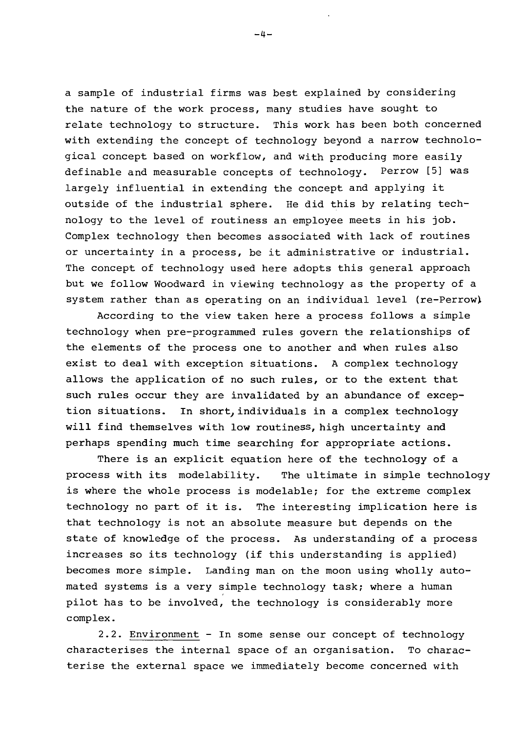<sup>a</sup> sample of industrial firms was best explained by considering the nature of the work process, many studies have sought to relate technology to structure. This work has been both concerned with extending the concept of technology beyond a narrow technological concept based on workflow, and with producing more easily definable and measurable concepts of technology. Perrow [5] was largely influential in extending the concept and applying it outside of the industrial sphere. He did this by relating technology to the level of routiness an employee meets in his job. Complex technology then becomes associated with lack of routines or uncertainty in <sup>a</sup> process, be it administrative or industrial. The concept of technology used here adopts this general approach but we follow Woodward in viewing technology as the property of a system rather than as operating on an individual level (re-Perrow)

According to the view taken here a process follows a simple technology when pre-programmed rules govern the relationships of the elements of the process one to another and when rules also exist to deal with exception situations. <sup>A</sup> complex technology allows the application of no such rules, or to the extent that such rules occur they are invalidated by an abundance of exception situations. In short, individuals in a complex technology will find themselves with low routiness, high uncertainty and perhaps spending much time searching for appropriate actions.

There is an explicit equation here of the technology of <sup>a</sup> process with its modelability. The ultimate in simple technology is where the whole process is modelable; for the extreme complex technology no part of it is. The interesting implication here is that technology is not an absolute measure but depends on the state of knowledge of the process. As understanding of <sup>a</sup> process increases so its technology (if this understanding is applied) becomes more simple. Landing man on the moon using wholly automated systems is a very simple technology task; where a human pilot has to be involved, the technology is considerably more complex.

2.2. Environment - In some sense our concept of technology characterises the internal space of an organisation. To characterise the external space we immediately become concerned with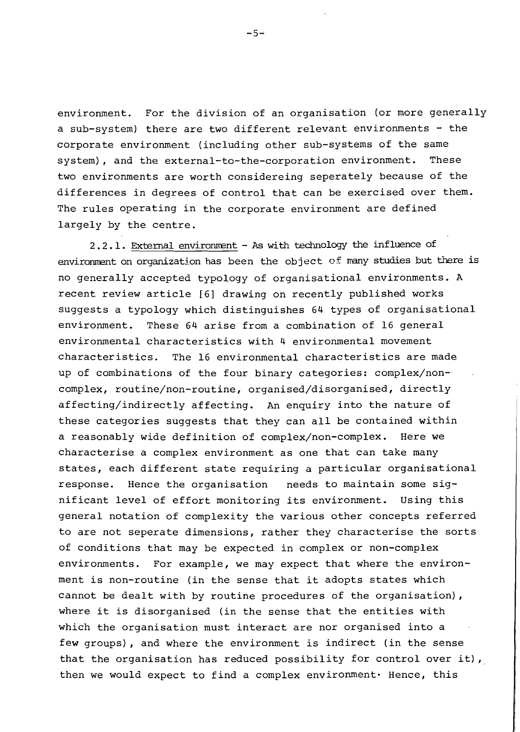environment. For the division of an organisation (or more generally a sub-system) there are two different relevant environments - the corporate environment (including other sub-systems of the same system), and the external-to-the-corporation environment. These two environments are worth considereing seperately because of the differences in degrees of control that can be exercised over them. The rules operating in the corporate environment are defined largely by the centre.

2.2.1. External environment - As with technology the influence of environment on organization has been the object of many studies but there is no generally accepted typology of organisational environments. A recent review article [6] drawing on recently published works suggests a typology which distinguishes 64 types of organisational environment. These 64 arise from <sup>a</sup> combination of 16 general environmental characteristics with <sup>4</sup> environmental movement characteristics. The 16 environmental characteristics are made up of combinations of the four binary categories: complex/noncomplex, routine/non-routine, organised/disorganised, directly affecting/indirectly affecting. An enquiry into the nature of these categories suggests that they can all be contained within <sup>a</sup> reasonably wide definition of complex/non-complex. Here we characterise <sup>a</sup> complex environment as one that can take many states, each different state requiring <sup>a</sup> particular organisational response. Hence the organisation needs to maintain some significant level of effort monitoring its environment. Using this general notation of complexity the various other concepts referred to are not seperate dimensions, rather they characterise the sorts of conditions that may be expected in complex or non-complex environments. For example, we may expect that where the environment is non-routine (in the sense that it adopts states which cannot be dealt with by routine procedures of the organisation), where it is disorganised (in the sense that the entities with which the organisation must interact are nor organised into <sup>a</sup> few groups), and where the environment is indirect (in the sense that the organisation has reduced possibility for control over it), then we would expect to find <sup>a</sup> complex environment· Hence, this

 $-5-$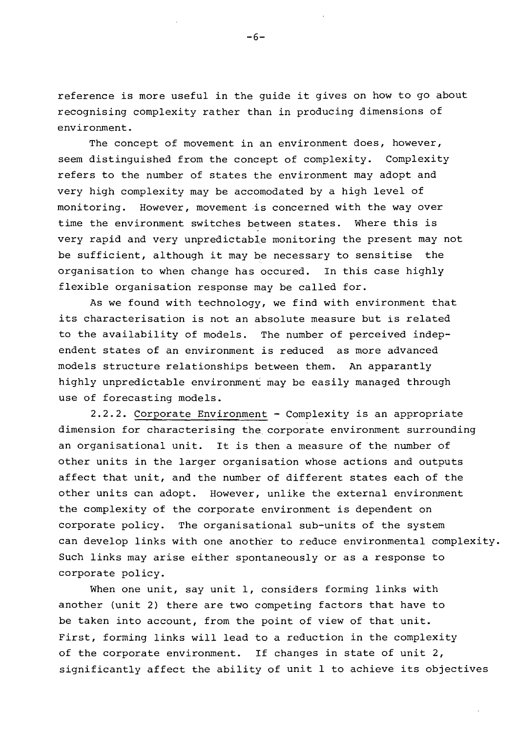reference is more useful in the guide it gives on how to go about recognising complexity rather than in producing dimensions of environment.

The concept of movement in an environment does, however, seem distinguished from the concept of complexity. Complexity refers to the number of states the environment may adopt and very high complexity may be accomodated by a high level of monitoring. However, movement is concerned with the way over time the environment switches between states. Where this is very rapid and very unpredictable monitoring the present may not be sufficient, although it may be necessary to sensitise the organisation to when change has occured. In this case highly flexible organisation response may be called for.

As we found with technology, we find with environment that its characterisation is not an absolute measure but is related to the availability of models. The number of perceived independent states of an environment is reduced as more advanced models structure relationships between them. An apparantly highly unpredictable environment may be easily managed through use of forecasting models.

2.2.2. Corporate Environment - Complexity is an appropriate dimension for characterising the. corporate environment surrounding an organisational unit. It is then <sup>a</sup> measure of the number of other units in the larger organisation whose actions and outputs affect that unit, and the number of different states each of the other units can adopt. However, unlike the external environment the complexity of the corporate environment is dependent on corporate policy. The organisational sub-units of the system can develop links with one another to reduce environmental complexity. Such links may arise either spontaneously or as <sup>a</sup> response to corporate policy.

When one unit, say unit 1, considers forming links with another (unit 2) there are two competing factors that have to be taken into account, from the point of view of that unit. First, forming links will lead to <sup>a</sup> reduction in the complexity of the corporate environment. If changes in state of unit 2, significantly affect the ability of unit <sup>1</sup> to achieve its objectives

-6-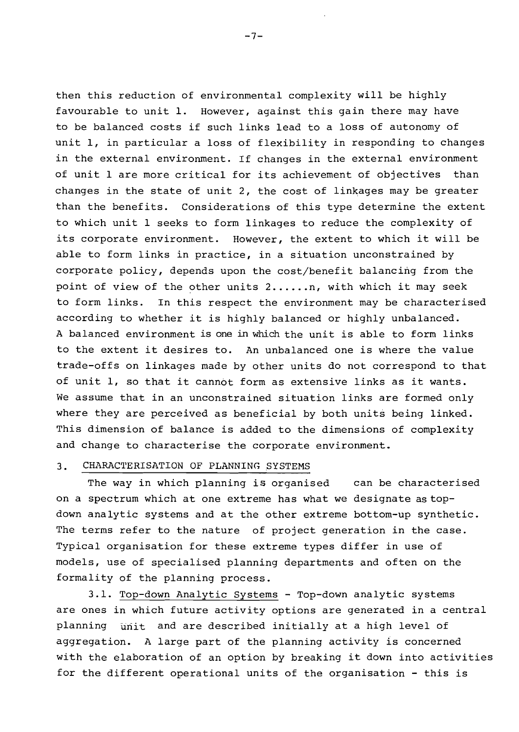then this reduction of environmental complexity will be highly favourable to unit 1. However, against this gain there may have to be balanced costs if such links lead to <sup>a</sup> loss of autonomy of unit 1, in particular <sup>a</sup> loss of flexibility in responding to changes in the external environment. If changes in the external environment of unit <sup>1</sup> are more critical for its achievement of objectives than changes in the state of unit 2, the cost of linkages may be greater than the benefits. Considerations of this type determine the extent to which unit <sup>1</sup> seeks to form linkages to reduce the complexity of its corporate environment. However, the extent to which it will be able to form links in practice, in <sup>a</sup> situation unconstrained by corporate policy, depends upon the cost/benefit balancing from the point of view of the other units  $2......$  , with which it may seek to form links. In this respect the environment may be characterised according to whether it is highly balanced or highly unbalanced. <sup>A</sup> balanced environment is one in which the unit is able to form links to the extent it desires to. An unbalanced one is where the value trade-offs on linkages made by other units do not correspond to that of unit 1, so that it cannot form as extensive links as it wants. We assume that in an unconstrained situation links are formed only where they are perceived as beneficial by both units being linked. This dimension of balance is added to the dimensions of complexity and change to characterise the corporate environment.

## 3. CHARACTERISATION OF PLANNING SYSTEMS

The way in which planning is organised can be characterised on <sup>a</sup> spectrum which at one extreme has what we designate as topdown analytic systems and at the other extreme bottom-up synthetic. The terms refer to the nature of project generation in the case. Typical organisation for these extreme types differ in use of models, use of specialised planning departments and often on the formality of the planning process.

3.1. Top-down Analytic Systems - Top-down analytic systems are ones in which future activity options are generated in <sup>a</sup> central planning unit and are described initially at <sup>a</sup> high level of aggregation. A large part of the planning activity is concerned with the elaboration of an option by breaking it down into activities for the different operational units of the organisation - this is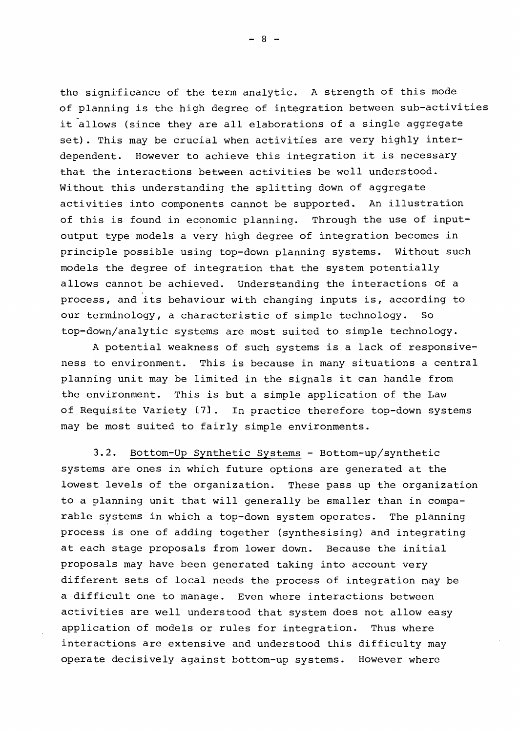the significance of the term analytic. A strength of this mode of planning is the high degree of integration between sub-activities it allows (since they are all elaborations of a single aggregate set). This may be crucial when activities are very highly interdependent. However to achieve this integration it is necessary that the interactions between activities be well understood. Without this understanding the splitting down of aggregate activities into components cannot be supported. An illustration of this is found in economic planning. Through the use of inputoutput type models a very high degree of integration becomes in principle possible using top-down planning systems. Without such models the degree of integration that the system potentially allows cannot be achieved. Understanding the interactions of a process, and its behaviour with changing inputs is, according to our terminology, <sup>a</sup> characteristic of simple technology. So top-down/analytic systems are most suited to simple technology.

<sup>A</sup> potential weakness of such systems is <sup>a</sup> lack of responsiveness to environment. This is because in many situations <sup>a</sup> central planning unit may be limited in the signals it can handle from the environment. This is but <sup>a</sup> simple application of the Law of Requisite Variety [7]. In practice therefore top-down systems may be most suited to fairly simple environments.

3.2. Bottom-Up Synthetic Systems - Bottom-up/synthetic systems are ones in which future options are generated at the lowest levels of the organization. These pass up the organization to <sup>a</sup> planning unit that will generally be smaller than in comparable systems in which a top-down system operates. The planning process is one of adding together (synthesising) and integrating at each stage proposals from lower down. Because the initial proposals may have been generated taking into account very different sets of local needs the process of integration may be <sup>a</sup> difficult one to manage. Even where interactions between activities are well understood that system does not allow easy application of models or rules for integration. Thus where interactions are extensive and understood this difficulty may operate decisively against bottom-up systems. However where

 $- 8 -$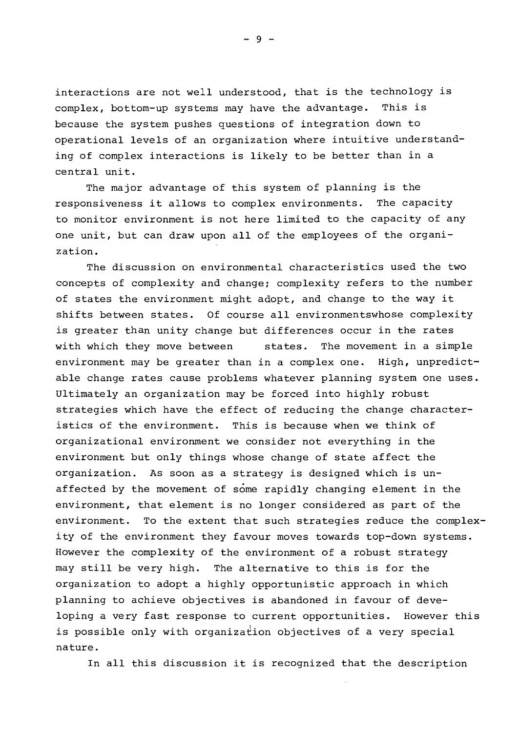interactions are not well understood, that is the technology is complex, bottom-up systems may have the advantage. This is because the system pushes questions of integration down to operational levels of an organization where intuitive understanding of complex interactions is likely to be better than in <sup>a</sup> central unit.

The major advantage of this system of planning is the responsiveness it allows to complex environments. The capacity to monitor environment is not here limited to the capacity of any one unit, but can draw upon all of the employees of the organization.

The discussion on environmental characteristics used the two concepts of complexity and change; complexity refers to the number of states the environment might adopt, and change to the way it shifts between states. Of course all environmentswhose complexity is greater than unity change but differences occur in the rates with which they move between states. The movement in <sup>a</sup> simple environment may be greater than in a complex one. High, unpredictable change rates cause problems whatever planning system one uses. Ultimately an organization may be forced into highly robust strategies which have the effect of reducing the change characteristics of the environment. This is because when we think of organizational environment we consider not everything in the environment but only things whose change of state affect the organization. As soon as <sup>a</sup> strategy is designed which is unaffected by the movement of some rapidly changing element in the environment, that element is no longer considered as part of the environment. To the extent that such strategies reduce the complexity of the environment they favour moves towards top-down systems. However the complexity of the environment of a robust strategy may still be very high. The alternative to this is for the organization to adopt a highly opportunistic approach in which planning to achieve objectives is abandoned in favour of developing <sup>a</sup> very fast response to current opportunities. However this is possible only with organization objectives of a very special nature.

In all this discussion it is recognized that the description

- 9 -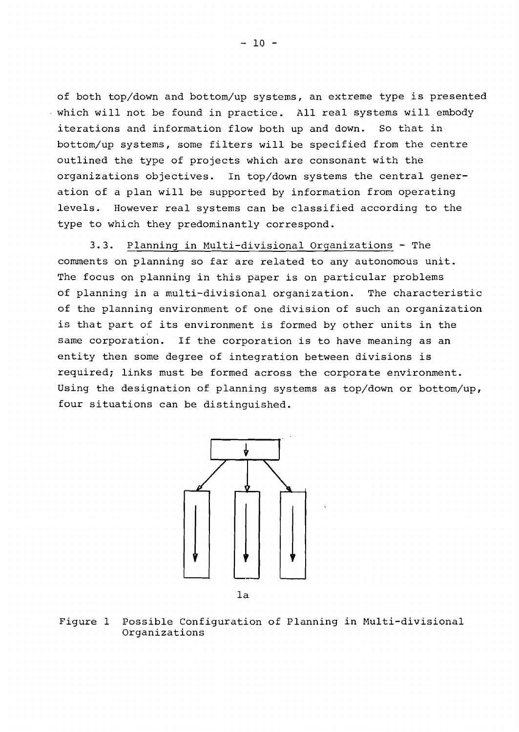of both top/down and bottom/up systems, an extreme type is presented which will not be found in practice. All real systems will embody iterations and information flow both up and down. So that in bottom/up systems, some filters will be specified from the centre outlined the type of projects which are consonant with the organizations objectives. In top/down systems the central generation of a plan will be supported by information from operating levels. However real systems can be classified according to the type to which they predominantly correspond.

3.3. Planning in Multi-divisional Organizations - The comments on planning so far are related to any autonomous unit. The focus on planning in this paper is on particular problems of planning in <sup>a</sup> multi-divisional organization. The characteristic of the planning environment of one division of such an organization is that part of its environment is formed by other units in the same corporation. If the corporation is to have meaning as an entity then some degree of integration between divisions is required; links must be formed across the corporate environment. Using the designation of planning systems as top/down or bottom/up, four situations can be distinguished.



Figure 1 Possible Configuration of Planning in Multi-divisional Organizations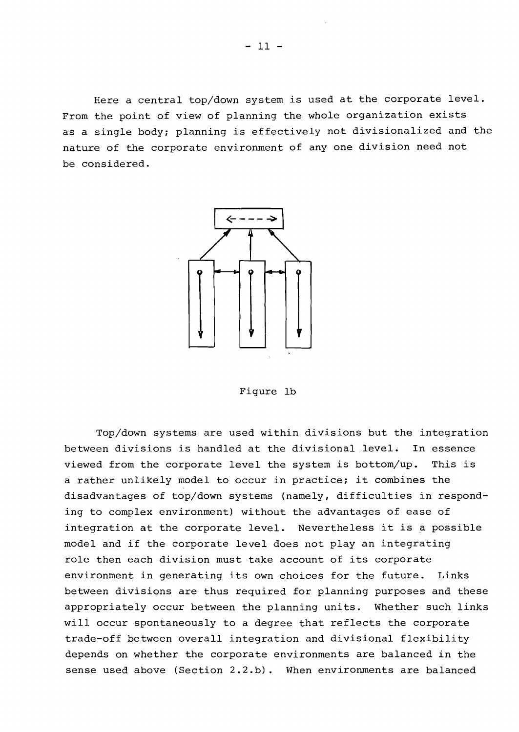Here <sup>a</sup> central top/down system is used at the corporate level. From the point of view of planning the whole organization exists as <sup>a</sup> single body; planning is effectively not divisionalized and the nature of the corporate environment of anyone division need not be considered.



Figure Ib

Top/down systems are used within divisions but the integration between divisions is handled at the divisional level. In essence viewed from the corporate level the system is bottom/up. This is <sup>a</sup> rather unlikely model to occur in practice; it combines the disadvantages of top/down systems (namely, difficulties in responding to complex environment) without the advantages of ease of integration at the corporate level. Nevertheless it is a possible model and if the corporate level does not play an integrating role then each division must take account of its corporate environment in generating its own choices for the future. Links between divisions are thus required for planning purposes and these appropriately occur between the planning units. Whether such links will occur spontaneously to <sup>a</sup> degree that reflects the corporate trade-off between overall integration and divisional flexibility depends on whether the corporate environments are balanced in the sense used above (Section 2.2.b). When environments are balanced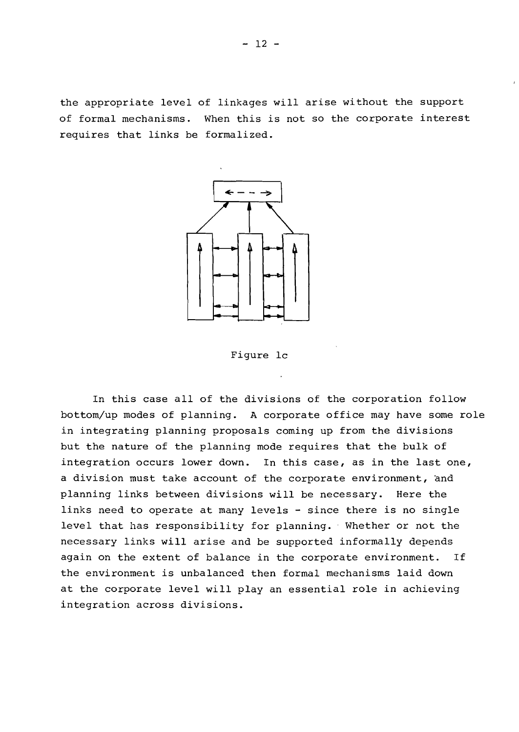the appropriate level of linkages will arise without the support of formal mechanisms. When this is not so the corporate interest requires that links be formalized.



Figure lc

In this case all of the divisions of the corporation follow bottom/up modes of planning. <sup>A</sup> corporate office may have some role in integrating planning proposals coming up from the divisions but the nature of the planning mode requires that the bulk of integration occurs lower down. In this case, as in the last one, a division must take account of the corporate environment, and planning links between divisions will be necessary. Here the links need to operate at many levels - since there is no single level that has responsibility for planning. Whether or not the necessary links will arise and be supported informally depends again on the extent of balance in the corporate environment. If the environment is unbalanced then formal mechanisms laid down at the corporate level will play an essential role in achieving integration across divisions.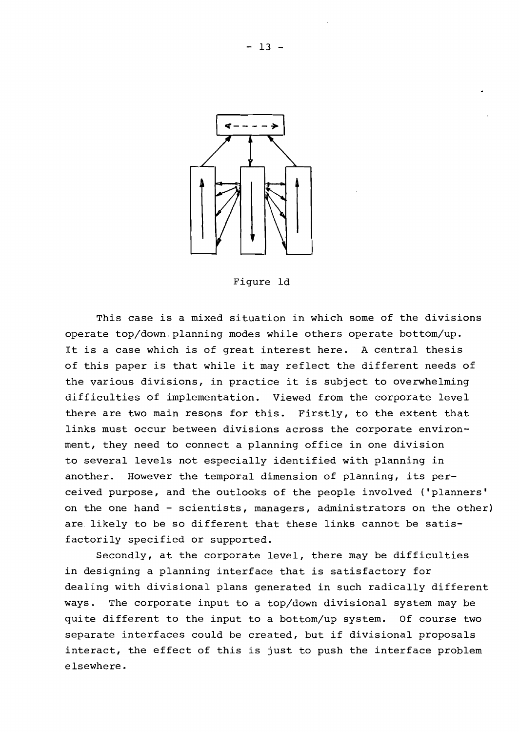

Figure ld

This case is <sup>a</sup> mixed situation in which some of the divisions operate top/down. planning modes while others operate bottom/up. It is <sup>a</sup> case which is of great interest here. <sup>A</sup> central thesis of this paper is that while it may reflect the different needs of the various divisions, in practice it is subject to overwhelming difficulties of implementation. Viewed from the corporate level there are two main resons for this. Firstly, to the extent that links must occur between divisions across the corporate environment, they need to connect a planning office in one division to several levels not especially identified with planning in another. However the temporal dimension of planning, its perceived purpose, and the outlooks of the people involved ('planners' on the one hand - scientists, managers, administrators on the other) are likely to be so different that these links cannot be satisfactorily specified or supported.

Secondly, at the corporate level, there may be difficulties in designing <sup>a</sup> planning interface that is satisfactory for dealing with divisional plans generated in such radically different ways. The corporate input to a top/down divisional system may be quite different to the input to <sup>a</sup> bottom/up system. Of course two separate interfaces could be created, but if divisional proposals interact, the effect of this is just to push the interface problem elsewhere.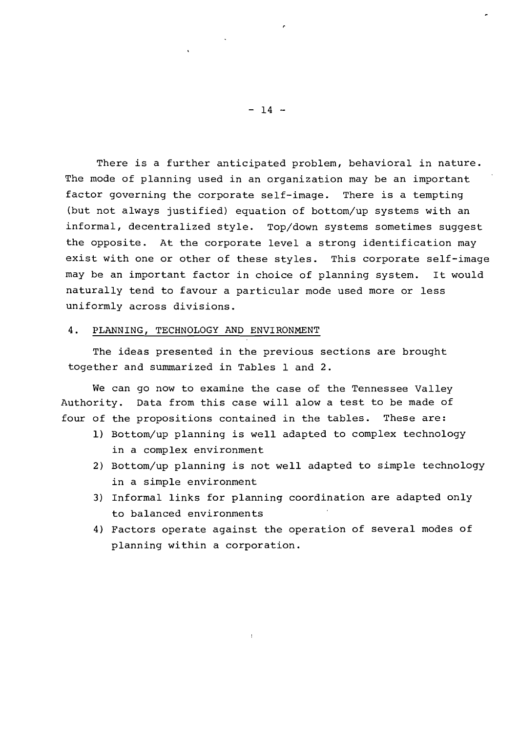There is a further anticipated problem, behavioral in nature. The mode of planning used in an organization may be an important factor governing the corporate self-image. There is <sup>a</sup> tempting (but not always justified) equation of bottom/up systems with an informal, decentralized style. Top/down systems sometimes suggest the opposite. At the corporate level <sup>a</sup> strong identification may exist with one or other of these styles. This corporate self-image may be an important factor in choice of planning system. It would naturally tend to favour <sup>a</sup> particular mode used more or less uniformly across divisions.

#### 4. PLANNING, TECHNOLOGY AND ENVIRONMENT

The ideas presented in the previous sections are brought together and summarized in Tables 1 and 2.

We can go now to examine the case of the Tennessee Valley Authority. Data from this case will alow <sup>a</sup> test to be made of four of the propositions contained in the tables. These are:

- 1) Bottom/up planning is well adapted to complex technology in a complex environment
- 2) Bottom/up planning is not well adapted to simple technology in a simple environment
- 3) Informal links for planning coordination are adapted only to balanced environments
- 4) Factors operate against the operation of several modes of planning within a corporation.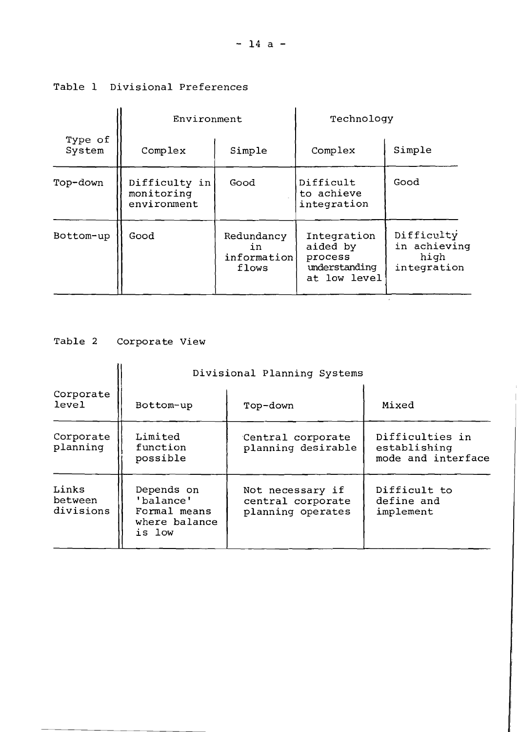|                   | Environment                                |        | Technology                                                                         |                                                   |  |
|-------------------|--------------------------------------------|--------|------------------------------------------------------------------------------------|---------------------------------------------------|--|
| Type of<br>System | Complex                                    | Simple | Complex                                                                            | Simple                                            |  |
| Top-down          | Difficulty in<br>monitoring<br>environment | Good   | Difficult<br>to achieve<br>integration                                             | Good                                              |  |
| Bottom-up         | Good                                       |        | Integration<br>aided by<br>information<br>process<br>understanding<br>at low level | Difficulty<br>in achieving<br>high<br>integration |  |

# Table 1 Divisional Preferences

Table 2 Corporate View

|                               | Divisional Planning Systems                                        |                                                            |                                                       |  |  |
|-------------------------------|--------------------------------------------------------------------|------------------------------------------------------------|-------------------------------------------------------|--|--|
| Corporate<br>level            | Bottom-up                                                          | Top-down                                                   | Mixed                                                 |  |  |
| Corporate<br>planning         | Limited<br>function<br>possible                                    | Central corporate<br>planning desirable                    | Difficulties in<br>establishing<br>mode and interface |  |  |
| Links<br>between<br>divisions | Depends on<br>'balance'<br>Formal means<br>where balance<br>is low | Not necessary if<br>central corporate<br>planning operates | Difficult to<br>define and<br>implement               |  |  |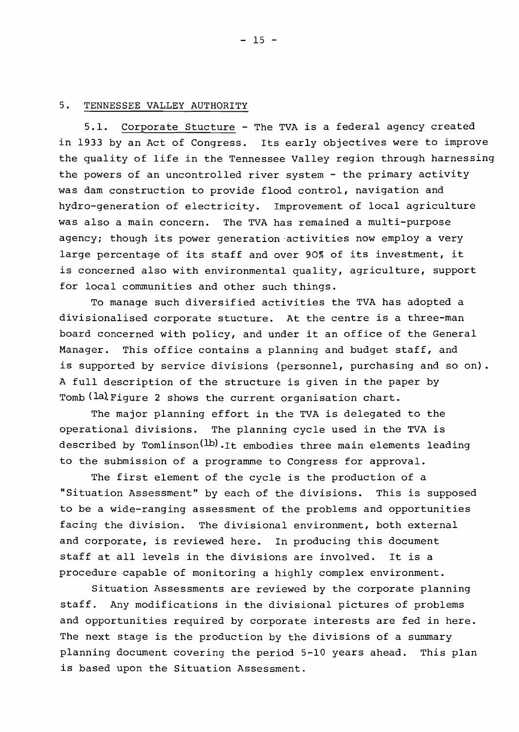## 5. TENNESSEE VALLEY AUTHORITY

5.1. Corporate Stucture - The TVA is <sup>a</sup> federal agency created in 1933 by an Act of Congress. Its early objectives were to improve the quality of life in the Tennessee Valley region through harnessing the powers of an uncontrolled river system - the primary activity was dam construction to provide flood control, navigation and hydro-generation of electricity. Improvement of local agriculture was also a main concern. The TVA has remained a multi-purpose agency; though its power generation'activities now employ <sup>a</sup> very large percentage of its staff and over 90% of its investment, it is concerned also with environmental quality, agriculture, support for local communities and other such things.

To manage such diversified activities the TVA has adopted <sup>a</sup> divisionalised corporate stucture. At the centre is <sup>a</sup> three-man board concerned with policy, and under it an office of the General Manager. This office contains <sup>a</sup> planning and budget staff, and is supported by service divisions (personnel, purchasing and so on) • <sup>A</sup> full description of the structure is given in the paper by Tomb (la) Figure 2 shows the current organisation chart.

The major planning effort in the TVA is delegated to the operational divisions. The planning cycle used in the TVA is described by Tomlinson<sup>(1b)</sup>.It embodies three main elements leading to the submission of a programme to Congress for approval.

The first element of the cycle is the production of <sup>a</sup> "Situation Assessment" by each of the divisions. This is supposed to be a wide-ranging assessment of the problems and opportunities facing the division. The divisional environment, both external and corporate, is reviewed here. In producing this document staff at all levels in the divisions are involved. It is <sup>a</sup> procedure capable of monitoring a highly complex environment.

Situation Assessments are reviewed by the corporate planning staff. Any modifications in the divisional pictures of problems and opportunities required by corporate interests are fed in here. The next stage is the production by the divisions of a summary planning document covering the period 5-10 years ahead. This plan is based upon the Situation Assessment.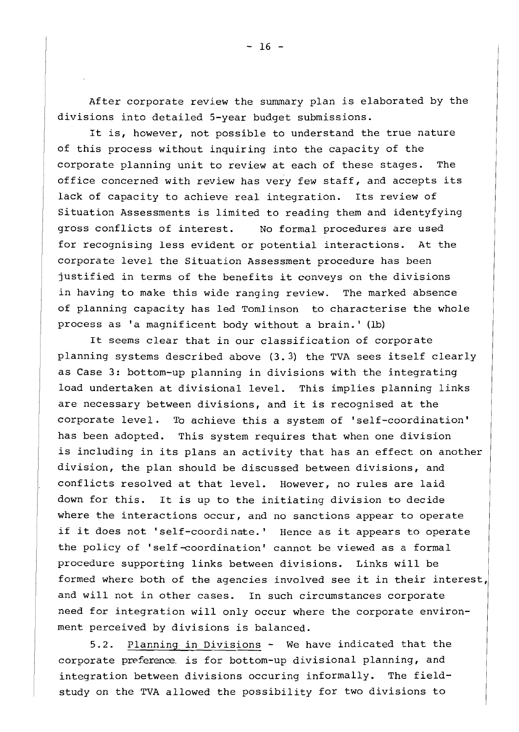After corporate review the summary plan is elaborated by the divisions into detailed 5-year budget submissions.

It is, however, not possible to understand the true nature of this process without inquiring into the capacity of the corporate planning unit to review at each of these stages. The office concerned with review has very few staff, and accepts its lack of capacity to achieve real integration. Its review of Situation Assessments is limited to reading them and identyfying gross conflicts of interest. No formal procedures are used for recognising less evident or potential interactions. At the corporate level the Situation Assessment procedure has been justified in terms of the benefits it oonveys on the divisions in having to make this wide ranging review. The marked absence of planning capacity has led Tomlinson to characterise the whole process as 'a magnificent body without <sup>a</sup> brain.' (lb)

It seems clear that in our classification of corporate planning systems described above (3.3) the TVA sees itself clearly as Case 3: bottom-up planning in divisions with the integrating load undertaken at divisional level. This implies planning links are necessary between divisions, and it is recognised at the corporate level. 10 achieve this <sup>a</sup> system of 'self-coordination' has been adopted. This system requires that when one division is including in its plans an activity that has an effect on another division, the plan should be discussed between divisions, and conflicts resolved at that level. However, no rules are laid down for this. It is up to the initiating division to decide where the interactions occur, and no sanctions appear to operate if it does not 'self-coordinate.' Hence as it appears to operate the policy of 'self-coordination' cannot be viewed as a formal procedure supporting links between divisions. Links will be formed where both of the agencies involved see it in their interest and will not in other cases. In such circumstances corporate need for integration will only occur where the corporate environment perceived by divisions is balanced.

5.2. Planning in Divisions - We have indicated that the corporate preference is for bottom-up divisional planning, and integration between divisions occuring informally. The fieldstudy on the TVA allowed the possibility for two divisions to

 $- 16 -$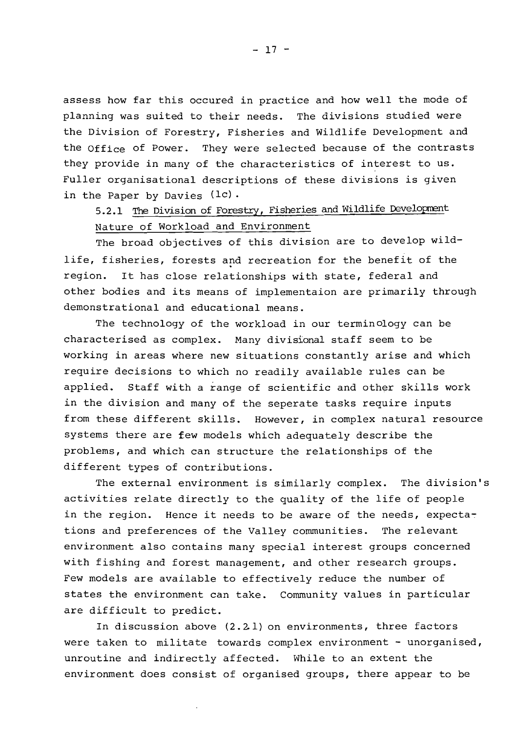assess how far this occured in practice and how well the mode of planning was suited to their needs. The divisions studied were the Division of Forestry, Fisheries and Wildlife Development and the Office of Power. They were selected because of the contrasts they provide in many of the characteristics of interest to us. Fuller organisational descriptions of these divisions is given in the Paper by Davies (lc).

5.2.1 The Division of Forestry, Fisheries and Wildlife Development Nature of Workload and Environment

The broad objectives of this division are to develop wildlife, fisheries, forests and recreation for the benefit of the region. It has close relationships with state, federal and other bodies and its means of implementaion are primarily through demonstrational and educational means.

The technology of the workload in our terminology can be characterised as complex. Many divisional staff seem to be working in areas where new situations constantly arise and which require decisions to which no readily available rules can be applied. Staff with <sup>a</sup> range of scientific and other skills work in the division and many of the seperate tasks require inputs from these different skills. However, in complex natural resource systems there are few models which adequately describe the problems, and which can structure the relationships of the different types of contributions.

The external environment is similarly complex. The division's activities relate directly to the quality of the life of people in the region. Hence it needs to be aware of the needs, expectations and preferences of the Valley communities. The relevant environment also contains many special interest groups concerned with fishing and forest management, and other research groups. Few models are available to effectively reduce the number of states the environment can take. Community values in particular are difficult to predict.

In discussion above (2.21) on environments, three factors were taken to militate towards complex environment - unorganised, unroutine and indirectly affected. While to an extent the environment does consist of organised groups, there appear to be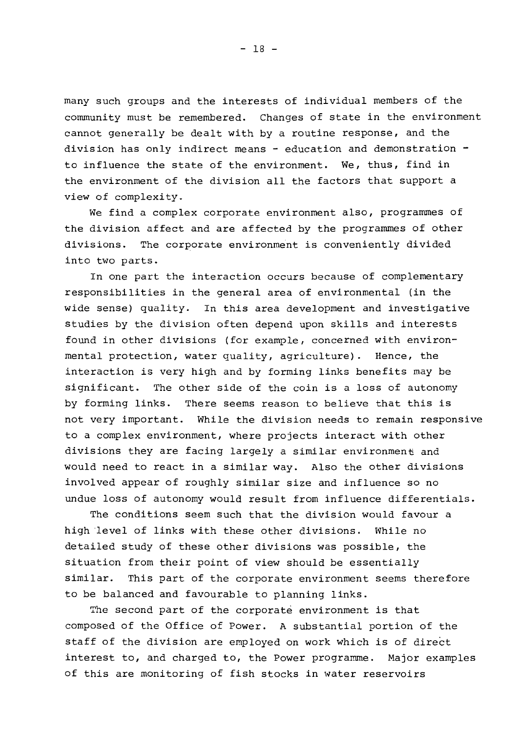many such groups and the interests of individual members of the community must be remembered. Changes of state in the environment cannot generally be dealt with by <sup>a</sup> routine response, and the division has only indirect means - education and demonstration to influence the state of the environment. We, thus, find in the environment of the division all the factors that support <sup>a</sup> view of complexity.

We find <sup>a</sup> complex corporate environment also, programmes of the division affect and are affected by the programmes of other divisions. The corporate environment is conveniently divided into two parts.

In one part the interaction occurs because of complementary responsibilities in the general area of environmental (in the wide sense) quality. In this area development and investigative studies by the division often depend upon skills and interests found in other divisions (for example, concerned with environmental protection, water quality, agriculture). Hence, the interaction is very high and by forming links benefits may be significant. The other side of the coin is <sup>a</sup> loss of autonomy by forming links. There seems reason to believe that this is not very important. While the division needs to remain responsive to <sup>a</sup> complex environment, where projects interact with other divisions they are facing largely a similar environment and would need to react in a similar way. Also the other divisions involved appear of roughly similar size and influence so no undue loss of autonomy would result from influence differentials.

The conditions seem such that the division would favour <sup>a</sup> high level of links with these other divisions. While no detailed study of these other divisions was possible, the situation from their point of view should be essentially similar. This part of the corporate environment seems therefore to be balanced and favourable to planning links.

The second part of the corporate environment is that composed of the Office of Power. <sup>A</sup> substantial portion of the staff of the division are employed on work which is of direct interest to, and charged to, the Power programme. Major examples of this are monitoring of fish stocks in water reservoirs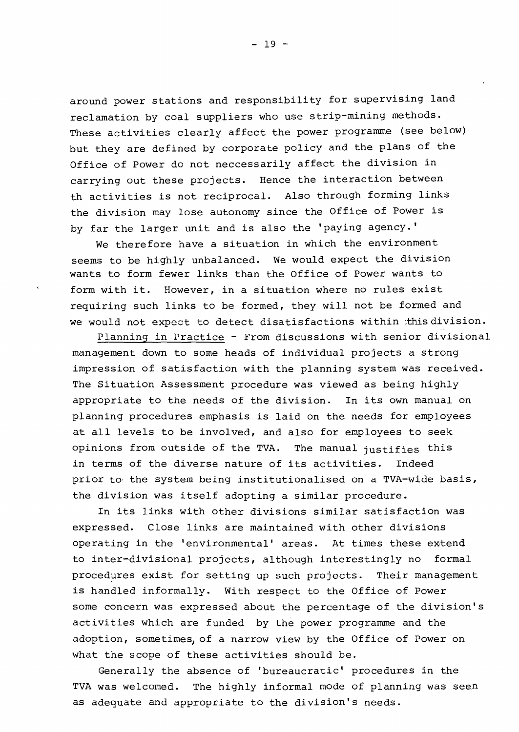around power stations and responsibility for supervising land reclamation by coal suppliers who use strip-mining methods. These activities clearly affect the power programme (see below) but they are defined by corporate policy and the plans of the Office of Power do not neccessarily affect the division in carrying out these projects. Hence the interaction between th activities is not reciprocal. Also through forming links the division may lose autonomy since the Office of Power is by far the larger unit and is also the 'paying agency.'

We therefore have a situation in which the environment seems to be highly unbalanced. We would expect the division wants to form fewer links than the Office of Power wants to form with it. However, in <sup>a</sup> situation where no rules exist requiring such links to be formed, they will not be formed and we would not expect to detect disatisfactions within this division.

Planning in Practice - From discussions with senior divisional management down to some heads of individual projects a strong impression of satisfaction with the planning system was received. The Situation Assessment procedure was viewed as being highly appropriate to the needs of the division. In its own manual on planning procedures emphasis is laid on the needs for employees at all levels to be involved, and also for employees to seek opinions from outside of the TVA. The manual justifies this in terms of the diverse nature of its activities. Indeed prior to the system being institutionalised on a TVA-wide basis, the division was itself adopting <sup>a</sup> similar procedure.

In its links with other divisions similar satisfaction was expressed. Close links are maintained with other divisions operating in the 'environmental' areas. At times these extend to inter-divisional projects, although interestingly no formal procedures exist for setting up such projects. Their management is handled informally. With respect to the Office of Power some concern was expressed about the percentage of the division's activities which are funded by the power programme and the adoption, sometimes, of a narrow view by the Office of Power on what the scope of these activities should be.

Generally the absence of 'bureaucratic' procedures in the TVA was welcomed. The highly informal mode of planning was seen as adequate and appropriate to the division's needs.

 $- 19 -$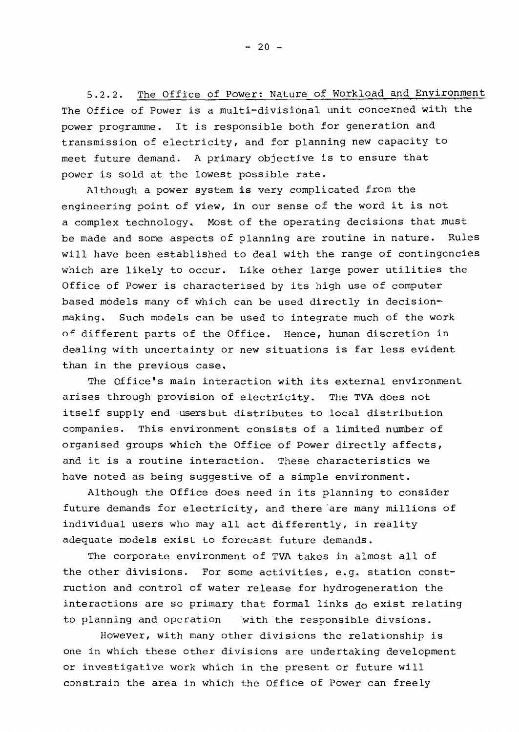5.2.2. The Office of Power: Nature of Workload and Environment The Office of Power is <sup>a</sup> multi-divisional unit concerned with the power programme. It is responsible both for generation and transmission of electricity, and for planning new capacity to meet future demand. <sup>A</sup> primary objective is to ensure that power is sold at the lowest possible rate.

Although <sup>a</sup> power system is very complicated from the engineering point of view, in our sense of the word it is not a complex technology. Most of the operating decisions that must be made and some aspects of planning are routine in nature. Rules will have been established to deal with the range of contingencies which are likely to occur. Like other large power utilities the Office of Power is characterised by its high use of computer based models many of which can be used directly in decisionmaking. Such models can be used to integrate much of the work of different parts of the Office. Hence, human discretion in dealing with uncertainty or new situations is far less evident than in the previous case.

The Office's main interaction with its external environment arises through provision of electricity. The TVA does not itself supply end users but distributes to local distribution companies. This environment consists of a limited number of organised groups which the Office of Power directly affects, and it is <sup>a</sup> routine interaction. These characteristics we have noted as being suggestive of a simple environment.

Although the Office does need in its planning to consider future demands for electricity, and there 'are many millions of individual users who may all act differently, in reality adequate models exist to forecast future demands.

The corporate environment of TVA takes in almost all of the other divisions. For Some activities, e.g. station construction and control of water release for hydrogeneration the interactions are so primary that formal links  $_{\text{do}}$  exist relating to planning and operation with the responsible divsions.

However, with many other divisions the relationship is one in which these other divisions are undertaking development or investigative work which in the present or future will constrain the area in which the Office of Power can freely

 $- 20 -$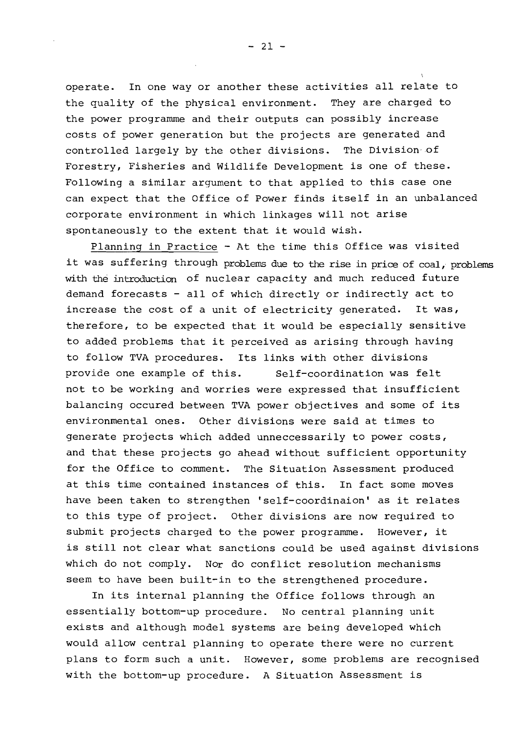operate. In one way or another these activities all relate to the quality of the physical environment. They are charged to the power programme and their outputs can possibly increase costs of power generation but the projects are generated and controlled largely by the other divisions. The Division'of Forestry, Fisheries and Wildlife Development is one of these. Following <sup>a</sup> similar argument to that applied to this case one can expect that the Office of Power finds itself in an unbalanced corporate environment in which linkages will not arise spontaneously to the extent that it would wish.

Planning in Practice - At the time this Office was visited it was suffering through problems due to the rise in price of coal, problems with the introduction of nuclear capacity and much reduced future demand forecasts - all of which directly or indirectly act to increase the cost of <sup>a</sup> unit of electricity generated. It was, therefore, to be expected that it would be especially sensitive to added problems that it perceived as arising through having to follow TVA procedures. Its links with other divisions provide one example of this. Self-coordination was felt not to be working and worries were expressed that insufficient balancing occured between TVA power objectives and some of its environmental ones. Other divisions were said at times to generate projects which added unneccessarily to power costs, and that these projects go ahead without sufficient opportunity for the Office to comment. The Situation Assessment produced at this time contained instances of this. In fact some moves have been taken to strengthen 'self-coordinaion' as it relates to this type of project. Other divisions are now required to submit projects charged to the power programme. However, it is still not clear what sanctions could be used against divisions which do not comply. Nor do conflict resolution mechanisms seem to have been built-in to the strengthened procedure.

In its internal planning the Office follows through an essentially bottom-up procedure. No central planning unit exists and although model systems are being developed which would allow central planning to operate there were no current plans to form such a unit. However, some problems are recognised with the bottom-up procedure. <sup>A</sup> Situation Assessment is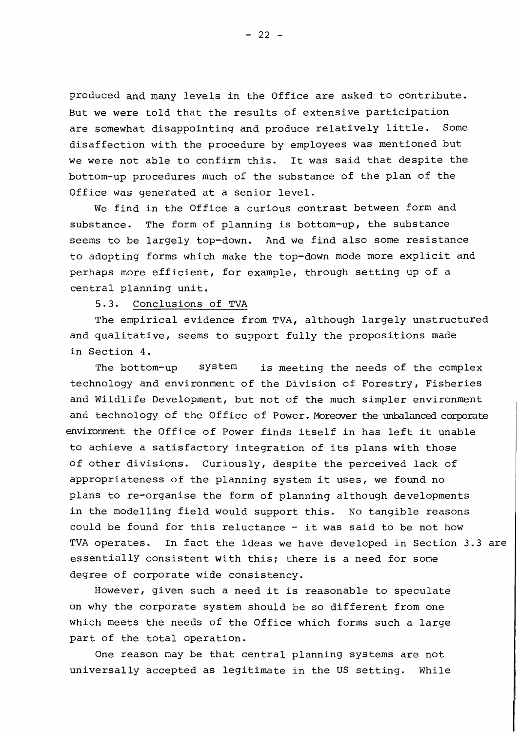produced and many levels in the Office are asked to contribute. But we were told that the results of extensive participation are somewhat disappointing and produce relatively little. Some disaffection with the procedure by employees was mentioned but we were not able to confirm this. It was said that despite the bottom-up procedures much of the substance of the plan of the Office was generated at <sup>a</sup> senior level.

We find in the Office a curious contrast between form and substance. The form of planning is bottom-up, the substance seems to be largely top-down. And we find also some resistance to adopting forms which make the top-down mode more explicit and perhaps more efficient, for example, through setting up of <sup>a</sup> central planning unit.

5.3. Conclusions of TVA

The empirical evidence from TVA, although largely unstructured and qualitative, seems to support fully the propositions made in Section 4.

The bottom-up system is meeting the needs of the complex technology and environment of the Division of Forestry, Fisheries and Wildlife Development, but not of the much simpler environment and technology of the Office of Power. Moreover the unbalanced corporate environment the Office of Power finds itself in has left it unable to achieve <sup>a</sup> satisfactory integration of its plans with those of other divisions. Curiously, despite the perceived lack of appropriateness of the planning system it uses, we found no plans to re-organise the form of planning although developments in the modelling field would support this. No tangible reasons could be found for this reluctance  $-$  it was said to be not how TVA operates. In fact the ideas we have developed in Section 3.3 are essentially consistent with this; there is <sup>a</sup> need for some degree of corporate wide consistency.

However, given such <sup>a</sup> need it is reasonable to speculate on why the corporate system should be so different from one which meets the needs of the Office which forms such a large part of the total operation.

One reason may be that central planning systems are not universally accepted as legitimate in the US setting. While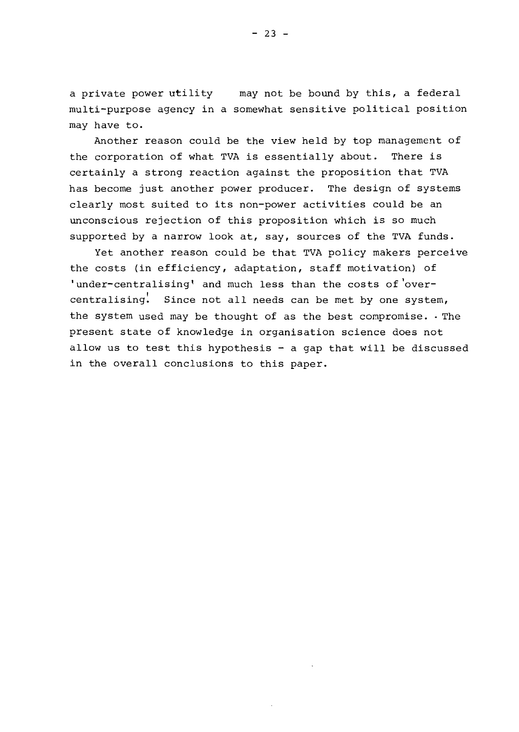<sup>a</sup> private power utility may not be bound by this, <sup>a</sup> federal multi-purpose agency in <sup>a</sup> somewhat sensitive political position may have to.

Another reason could be the view held by top management of the corporation of what TVA is essentially about. There is certainly <sup>a</sup> strong reaction against the proposition that TVA has become just another power producer. The design of systems clearly most suited to its non-power activities could be an unconscious rejection of this proposition which is so much supported by a narrow look at, say, sources of the TVA funds.

Yet another reason could be that TVA policy makers perceive the costs (in efficiency, adaptation, staff motivation) of •under-centralising' and much less than the costs of 'overcentralising. Since not all needs can be met by one system, the system used may be thought of as the best compromise.  $\cdot$  The present state of knowledge in organisation science does not allow us to test this hypothesis - a gap that will be discussed in the overall conclusions to this paper.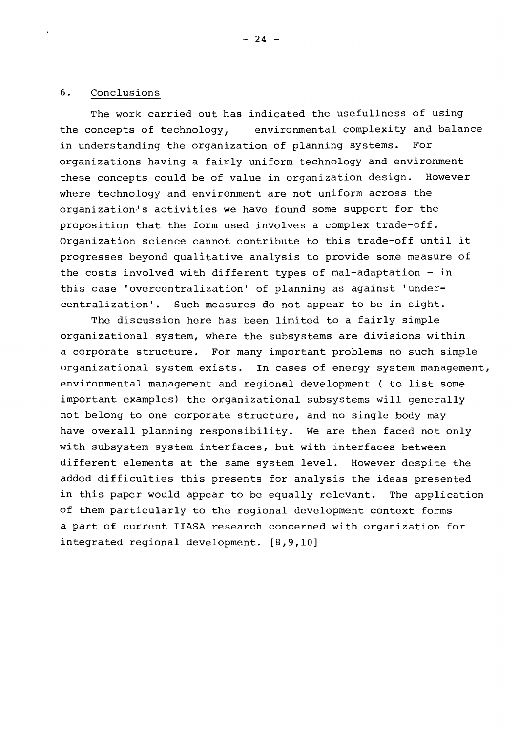## 6. Conclusions

The work carried out has indicated the usefullness of using the concepts of technology, environmental complexity and balance in understanding the organization of planning systems. For organizations having <sup>a</sup> fairly uniform technology and environment these concepts could be of value in organization design. However where technology and environment are not uniform across the organization,'s activities we have found some support for the proposition that the form used involves <sup>a</sup> complex trade-off. Organization science cannot contribute to this trade-off until it progresses beyond qualitative analysis to provide some measure of the costs involved with different types of mal-adaptation - in this case 'overcentralization' of planning as against 'undercentralization'. Such measures do not appear to be in sight.

The discussion here has been limited to <sup>a</sup> fairly simple organizational system, where the subsystems are divisions within a corporate structure. For many important problems no such simple organizational system exists. In cases of energy system management, environmental management and regional development ( to list some important examples) the organizational subsystems will generally not belong to one corporate structure, and no single body may have overall planning responsibility. We are then faced not only with subsystem-system interfaces, but with interfaces between different elements at the same system level. However despite the added difficulties this presents for analysis the ideas presented in this paper would appear to be equally relevant. The application of them particularly to the regional development context forms <sup>a</sup> part of current IIASA research concerned with organization for integrated regional development. [8,9,10]